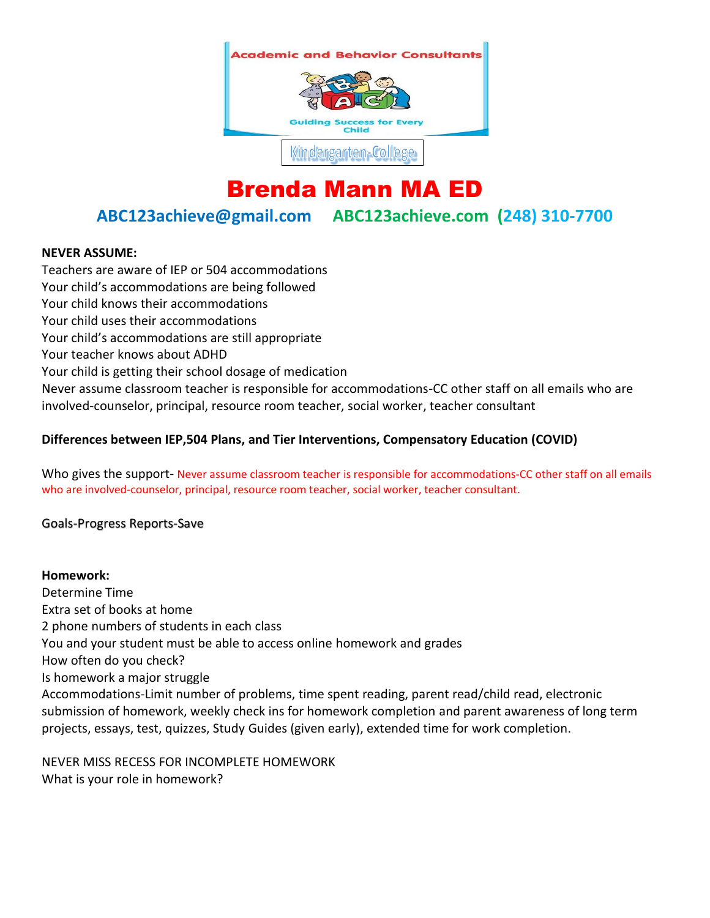

# Brenda Mann MA ED

**ABC123achieve@gmail.com ABC123achieve.com (248) 310-7700**

### **NEVER ASSUME:**

Teachers are aware of IEP or 504 accommodations Your child's accommodations are being followed Your child knows their accommodations Your child uses their accommodations Your child's accommodations are still appropriate Your teacher knows about ADHD Your child is getting their school dosage of medication Never assume classroom teacher is responsible for accommodations-CC other staff on all emails who are involved-counselor, principal, resource room teacher, social worker, teacher consultant

## **Differences between IEP,504 Plans, and Tier Interventions, Compensatory Education (COVID)**

Who gives the support- Never assume classroom teacher is responsible for accommodations-CC other staff on all emails who are involved-counselor, principal, resource room teacher, social worker, teacher consultant.

Goals-Progress Reports-Save

**Homework:** Determine Time Extra set of books at home 2 phone numbers of students in each class You and your student must be able to access online homework and grades How often do you check? Is homework a major struggle Accommodations-Limit number of problems, time spent reading, parent read/child read, electronic submission of homework, weekly check ins for homework completion and parent awareness of long term projects, essays, test, quizzes, Study Guides (given early), extended time for work completion.

NEVER MISS RECESS FOR INCOMPLETE HOMEWORK What is your role in homework?